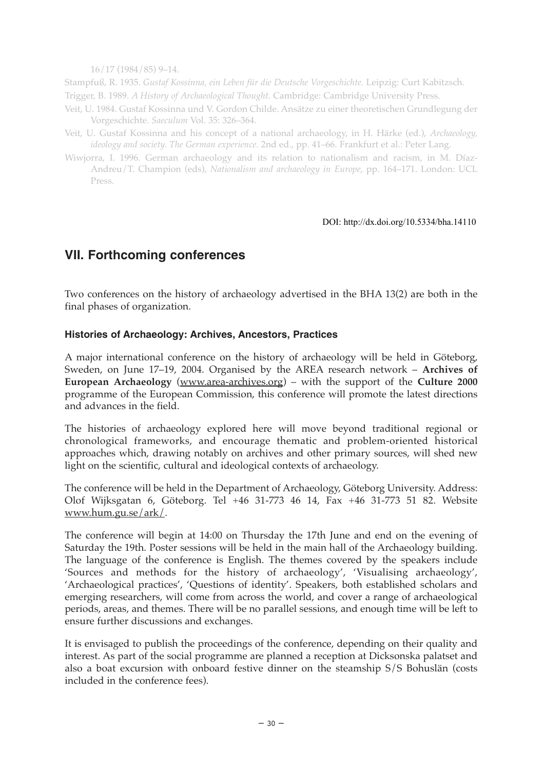16/17 (1984/85) 9–14.

Stampfuß, R. 1935. *Gustaf Kossinna, ein Leben für die Deutsche Vorgeschichte.* Leipzig: Curt Kabitzsch. Trigger, B. 1989. *A History of Archaeological Thought*. Cambridge: Cambridge University Press.

- Veit, U. 1984. Gustaf Kossinna und V. Gordon Childe. Ansätze zu einer theoretischen Grundlegung der Vorgeschichte. *Saeculum* Vol. 35: 326–364.
- Veit, U. Gustaf Kossinna and his concept of a national archaeology, in H. Härke (ed.), *Archaeology, ideology and society. The German experience.* 2nd ed., pp. 41–66. Frankfurt et al.: Peter Lang.
- Wiwjorra, I. 1996. German archaeology and its relation to nationalism and racism, in M. Díaz-Andreu/T. Champion (eds), *Nationalism and archaeology in Europe*, pp. 164–171. London: UCL Press.

## DOI: http://dx.doi.org/10.5334/bha.14110

## **VII. Forthcoming conferences**

Two conferences on the history of archaeology advertised in the BHA 13(2) are both in the final phases of organization.

## **Histories of Archaeology: Archives, Ancestors, Practices**

A major international conference on the history of archaeology will be held in Göteborg, Sweden, on June 17–19, 2004. Organised by the AREA research network – **Archives of European Archaeology** (www.area-archives.org) – with the support of the **Culture 2000** programme of the European Commission, this conference will promote the latest directions and advances in the field.

The histories of archaeology explored here will move beyond traditional regional or chronological frameworks, and encourage thematic and problem-oriented historical approaches which, drawing notably on archives and other primary sources, will shed new light on the scientific, cultural and ideological contexts of archaeology.

The conference will be held in the Department of Archaeology, Göteborg University. Address: Olof Wijksgatan 6, Göteborg. Tel +46 31-773 46 14, Fax +46 31-773 51 82. Website www.hum.gu.se/ark/.

The conference will begin at 14:00 on Thursday the 17th June and end on the evening of Saturday the 19th. Poster sessions will be held in the main hall of the Archaeology building. The language of the conference is English. The themes covered by the speakers include 'Sources and methods for the history of archaeology', 'Visualising archaeology', 'Archaeological practices', 'Questions of identity'. Speakers, both established scholars and emerging researchers, will come from across the world, and cover a range of archaeological periods, areas, and themes. There will be no parallel sessions, and enough time will be left to ensure further discussions and exchanges.

It is envisaged to publish the proceedings of the conference, depending on their quality and interest. As part of the social programme are planned a reception at Dicksonska palatset and also a boat excursion with onboard festive dinner on the steamship S/S Bohuslän (costs included in the conference fees).